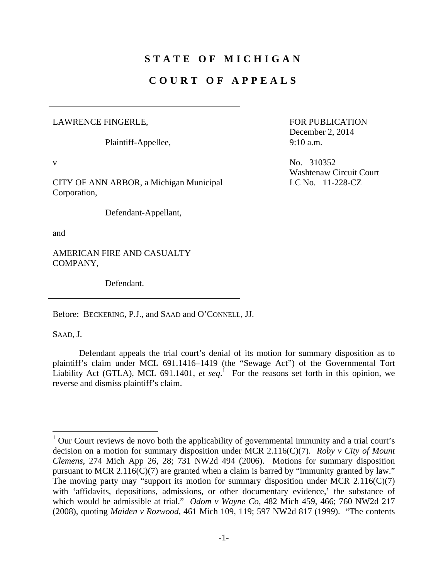# **STATE OF MICHIGAN**

## **COURT OF APPEALS**

### LAWRENCE FINGERLE,

Plaintiff-Appellee,

CITY OF ANN ARBOR, a Michigan Municipal Corporation,

Defendant-Appellant,

and

AMERICAN FIRE AND CASUALTY COMPANY,

Defendant.

Before: BECKERING, P.J., and SAAD and O'CONNELL, JJ.

SAAD, J.

1

 Defendant appeals the trial court's denial of its motion for summary disposition as to plaintiff's claim under MCL 691.1416–1419 (the "Sewage Act") of the Governmental Tort Liability Act (GTLA), MCL 691.1401, *et seq*.<sup>1</sup> For the reasons set forth in this opinion, we reverse and dismiss plaintiff's claim.

FOR PUBLICATION December 2, 2014 9:10 a.m.

v  $N_0$ . 310352 Washtenaw Circuit Court LC No. 11-228-CZ

<sup>&</sup>lt;sup>1</sup> Our Court reviews de novo both the applicability of governmental immunity and a trial court's decision on a motion for summary disposition under MCR 2.116(C)(7). *Roby v City of Mount Clemens*, 274 Mich App 26, 28; 731 NW2d 494 (2006). Motions for summary disposition pursuant to MCR 2.116(C)(7) are granted when a claim is barred by "immunity granted by law." The moving party may "support its motion for summary disposition under MCR  $2.116(C)(7)$ with 'affidavits, depositions, admissions, or other documentary evidence,' the substance of which would be admissible at trial." *Odom v Wayne Co*, 482 Mich 459, 466; 760 NW2d 217 (2008), quoting *Maiden v Rozwood*, 461 Mich 109, 119; 597 NW2d 817 (1999). "The contents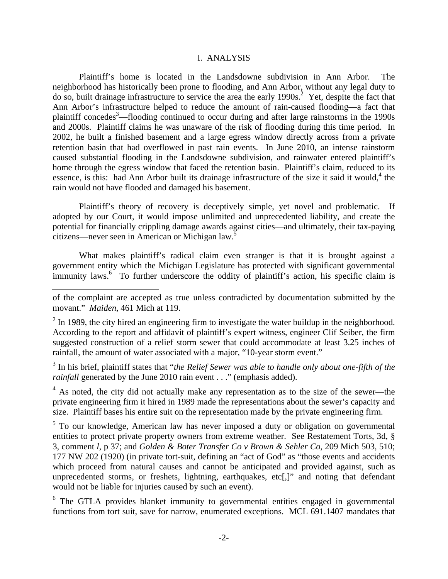#### I. ANALYSIS

 Plaintiff's home is located in the Landsdowne subdivision in Ann Arbor. The neighborhood has historically been prone to flooding, and Ann Arbor, without any legal duty to do so, built drainage infrastructure to service the area the early 1990s.<sup>2</sup> Yet, despite the fact that Ann Arbor's infrastructure helped to reduce the amount of rain-caused flooding—a fact that plaintiff concedes<sup>3</sup>—flooding continued to occur during and after large rainstorms in the 1990s and 2000s. Plaintiff claims he was unaware of the risk of flooding during this time period. In 2002, he built a finished basement and a large egress window directly across from a private retention basin that had overflowed in past rain events. In June 2010, an intense rainstorm caused substantial flooding in the Landsdowne subdivision, and rainwater entered plaintiff's home through the egress window that faced the retention basin. Plaintiff's claim, reduced to its essence, is this: had Ann Arbor built its drainage infrastructure of the size it said it would,<sup>4</sup> the rain would not have flooded and damaged his basement.

 Plaintiff's theory of recovery is deceptively simple, yet novel and problematic. If adopted by our Court, it would impose unlimited and unprecedented liability, and create the potential for financially crippling damage awards against cities—and ultimately, their tax-paying citizens—never seen in American or Michigan law.5

 What makes plaintiff's radical claim even stranger is that it is brought against a government entity which the Michigan Legislature has protected with significant governmental immunity laws.<sup>6</sup> To further underscore the oddity of plaintiff's action, his specific claim is

3 In his brief, plaintiff states that "*the Relief Sewer was able to handle only about one-fifth of the rainfall* generated by the June 2010 rain event . . ." (emphasis added).

 $4$  As noted, the city did not actually make any representation as to the size of the sewer—the private engineering firm it hired in 1989 made the representations about the sewer's capacity and size. Plaintiff bases his entire suit on the representation made by the private engineering firm.

<sup>5</sup> To our knowledge, American law has never imposed a duty or obligation on governmental entities to protect private property owners from extreme weather. See Restatement Torts, 3d, § 3, comment *l*, p 37; and *Golden & Boter Transfer Co v Brown & Sehler Co*, 209 Mich 503, 510; 177 NW 202 (1920) (in private tort-suit, defining an "act of God" as "those events and accidents which proceed from natural causes and cannot be anticipated and provided against, such as unprecedented storms, or freshets, lightning, earthquakes, etc[,]" and noting that defendant would not be liable for injuries caused by such an event).

<sup>6</sup> The GTLA provides blanket immunity to governmental entities engaged in governmental functions from tort suit, save for narrow, enumerated exceptions. MCL 691.1407 mandates that

of the complaint are accepted as true unless contradicted by documentation submitted by the movant." *Maiden*, 461 Mich at 119.

 $2 \text{ In } 1989$ , the city hired an engineering firm to investigate the water buildup in the neighborhood. According to the report and affidavit of plaintiff's expert witness, engineer Clif Seiber, the firm suggested construction of a relief storm sewer that could accommodate at least 3.25 inches of rainfall, the amount of water associated with a major, "10-year storm event."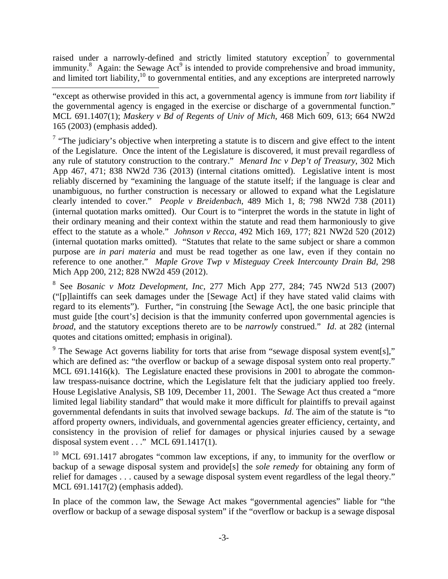raised under a narrowly-defined and strictly limited statutory exception<sup>7</sup> to governmental immunity.<sup>8</sup> Again: the Sewage Act<sup>9</sup> is intended to provide comprehensive and broad immunity, and limited tort liability, $10$  to governmental entities, and any exceptions are interpreted narrowly

"except as otherwise provided in this act, a governmental agency is immune from *tort* liability if the governmental agency is engaged in the exercise or discharge of a governmental function." MCL 691.1407(1); *Maskery v Bd of Regents of Univ of Mich*, 468 Mich 609, 613; 664 NW2d 165 (2003) (emphasis added).

<sup>7</sup> "The judiciary's objective when interpreting a statute is to discern and give effect to the intent of the Legislature. Once the intent of the Legislature is discovered, it must prevail regardless of any rule of statutory construction to the contrary." *Menard Inc v Dep't of Treasury*, 302 Mich App 467, 471; 838 NW2d 736 (2013) (internal citations omitted). Legislative intent is most reliably discerned by "examining the language of the statute itself; if the language is clear and unambiguous, no further construction is necessary or allowed to expand what the Legislature clearly intended to cover." *People v Breidenbach*, 489 Mich 1, 8; 798 NW2d 738 (2011) (internal quotation marks omitted). Our Court is to "interpret the words in the statute in light of their ordinary meaning and their context within the statute and read them harmoniously to give effect to the statute as a whole." *Johnson v Recca*, 492 Mich 169, 177; 821 NW2d 520 (2012) (internal quotation marks omitted). "Statutes that relate to the same subject or share a common purpose are *in pari materia* and must be read together as one law, even if they contain no reference to one another." *Maple Grove Twp v Misteguay Creek Intercounty Drain Bd*, 298 Mich App 200, 212; 828 NW2d 459 (2012).

8 See *Bosanic v Motz Development, Inc*, 277 Mich App 277, 284; 745 NW2d 513 (2007) ("[p]laintiffs can seek damages under the [Sewage Act] if they have stated valid claims with regard to its elements"). Further, "in construing [the Sewage Act], the one basic principle that must guide [the court's] decision is that the immunity conferred upon governmental agencies is *broad*, and the statutory exceptions thereto are to be *narrowly* construed." *Id*. at 282 (internal quotes and citations omitted; emphasis in original).

<sup>9</sup> The Sewage Act governs liability for torts that arise from "sewage disposal system event[s]," which are defined as: "the overflow or backup of a sewage disposal system onto real property." MCL 691.1416(k). The Legislature enacted these provisions in 2001 to abrogate the commonlaw trespass-nuisance doctrine, which the Legislature felt that the judiciary applied too freely. House Legislative Analysis, SB 109, December 11, 2001. The Sewage Act thus created a "more limited legal liability standard" that would make it more difficult for plaintiffs to prevail against governmental defendants in suits that involved sewage backups. *Id*. The aim of the statute is "to afford property owners, individuals, and governmental agencies greater efficiency, certainty, and consistency in the provision of relief for damages or physical injuries caused by a sewage disposal system event . . ." MCL 691.1417(1).

 $10$  MCL 691.1417 abrogates "common law exceptions, if any, to immunity for the overflow or backup of a sewage disposal system and provide[s] the *sole remedy* for obtaining any form of relief for damages . . . caused by a sewage disposal system event regardless of the legal theory." MCL 691.1417(2) (emphasis added).

In place of the common law, the Sewage Act makes "governmental agencies" liable for "the overflow or backup of a sewage disposal system" if the "overflow or backup is a sewage disposal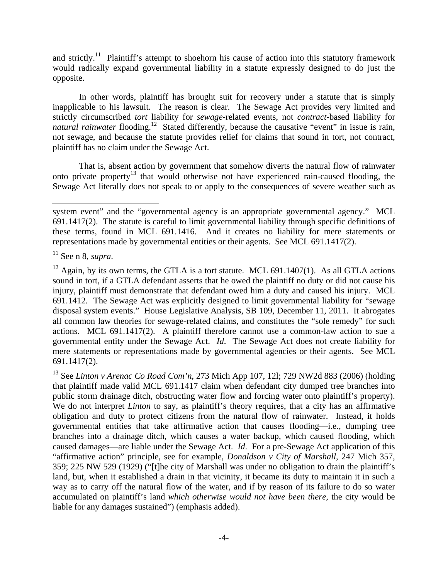and strictly.<sup>11</sup> Plaintiff's attempt to shoehorn his cause of action into this statutory framework would radically expand governmental liability in a statute expressly designed to do just the opposite.

 In other words, plaintiff has brought suit for recovery under a statute that is simply inapplicable to his lawsuit. The reason is clear. The Sewage Act provides very limited and strictly circumscribed *tort* liability for *sewage-*related events, not *contract***-**based liability for *natural rainwater* flooding.<sup>12</sup> Stated differently, because the causative "event" in issue is rain, not sewage, and because the statute provides relief for claims that sound in tort, not contract, plaintiff has no claim under the Sewage Act.

 That is, absent action by government that somehow diverts the natural flow of rainwater onto private property<sup>13</sup> that would otherwise not have experienced rain-caused flooding, the Sewage Act literally does not speak to or apply to the consequences of severe weather such as

system event" and the "governmental agency is an appropriate governmental agency." MCL 691.1417(2). The statute is careful to limit governmental liability through specific definitions of these terms, found in MCL 691.1416. And it creates no liability for mere statements or representations made by governmental entities or their agents. See MCL 691.1417(2).

<sup>11</sup> See n 8, *supra*.

 $12$  Again, by its own terms, the GTLA is a tort statute. MCL 691.1407(1). As all GTLA actions sound in tort, if a GTLA defendant asserts that he owed the plaintiff no duty or did not cause his injury, plaintiff must demonstrate that defendant owed him a duty and caused his injury. MCL 691.1412. The Sewage Act was explicitly designed to limit governmental liability for "sewage disposal system events." House Legislative Analysis, SB 109, December 11, 2011. It abrogates all common law theories for sewage-related claims, and constitutes the "sole remedy" for such actions. MCL 691.1417(2). A plaintiff therefore cannot use a common-law action to sue a governmental entity under the Sewage Act. *Id*. The Sewage Act does not create liability for mere statements or representations made by governmental agencies or their agents. See MCL 691.1417(2).

<sup>13</sup> See *Linton v Arenac Co Road Com'n*, 273 Mich App 107, 12l; 729 NW2d 883 (2006) (holding that plaintiff made valid MCL 691.1417 claim when defendant city dumped tree branches into public storm drainage ditch, obstructing water flow and forcing water onto plaintiff's property). We do not interpret *Linton* to say, as plaintiff's theory requires, that a city has an affirmative obligation and duty to protect citizens from the natural flow of rainwater. Instead, it holds governmental entities that take affirmative action that causes flooding—i.e., dumping tree branches into a drainage ditch, which causes a water backup, which caused flooding, which caused damages—are liable under the Sewage Act. *Id*. For a pre-Sewage Act application of this "affirmative action" principle, see for example, *Donaldson v City of Marshall*, 247 Mich 357, 359; 225 NW 529 (1929) ("[t]he city of Marshall was under no obligation to drain the plaintiff's land, but, when it established a drain in that vicinity, it became its duty to maintain it in such a way as to carry off the natural flow of the water, and if by reason of its failure to do so water accumulated on plaintiff's land *which otherwise would not have been there*, the city would be liable for any damages sustained") (emphasis added).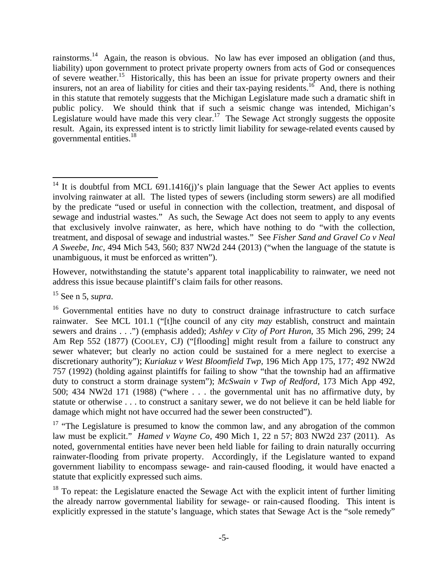rainstorms.<sup>14</sup> Again, the reason is obvious. No law has ever imposed an obligation (and thus, liability) upon government to protect private property owners from acts of God or consequences of severe weather.<sup>15</sup> Historically, this has been an issue for private property owners and their insurers, not an area of liability for cities and their tax-paying residents.<sup>16</sup> And, there is nothing in this statute that remotely suggests that the Michigan Legislature made such a dramatic shift in public policy. We should think that if such a seismic change was intended, Michigan's Legislature would have made this very clear.<sup>17</sup> The Sewage Act strongly suggests the opposite result. Again, its expressed intent is to strictly limit liability for sewage-related events caused by governmental entities.<sup>18</sup>

However, notwithstanding the statute's apparent total inapplicability to rainwater, we need not address this issue because plaintiff's claim fails for other reasons.

15 See n 5, *supra*.

 $\overline{a}$ <sup>14</sup> It is doubtful from MCL 691.1416(j)'s plain language that the Sewer Act applies to events involving rainwater at all. The listed types of sewers (including storm sewers) are all modified by the predicate "used or useful in connection with the collection, treatment, and disposal of sewage and industrial wastes." As such, the Sewage Act does not seem to apply to any events that exclusively involve rainwater, as here, which have nothing to do "with the collection, treatment, and disposal of sewage and industrial wastes." See *Fisher Sand and Gravel Co v Neal A Sweebe, Inc*, 494 Mich 543, 560; 837 NW2d 244 (2013) ("when the language of the statute is unambiguous, it must be enforced as written").

<sup>&</sup>lt;sup>16</sup> Governmental entities have no duty to construct drainage infrastructure to catch surface rainwater. See MCL 101.1 ("[t]he council of any city *may* establish, construct and maintain sewers and drains . . .") (emphasis added); *Ashley v City of Port Huron*, 35 Mich 296, 299; 24 Am Rep 552 (1877) (COOLEY, CJ) ("[flooding] might result from a failure to construct any sewer whatever; but clearly no action could be sustained for a mere neglect to exercise a discretionary authority"); *Kuriakuz v West Bloomfield Twp*, 196 Mich App 175, 177; 492 NW2d 757 (1992) (holding against plaintiffs for failing to show "that the township had an affirmative duty to construct a storm drainage system"); *McSwain v Twp of Redford*, 173 Mich App 492, 500; 434 NW2d 171 (1988) ("where . . . the governmental unit has no affirmative duty, by statute or otherwise . . . to construct a sanitary sewer, we do not believe it can be held liable for damage which might not have occurred had the sewer been constructed").

<sup>&</sup>lt;sup>17</sup> "The Legislature is presumed to know the common law, and any abrogation of the common law must be explicit." *Hamed v Wayne Co*, 490 Mich 1, 22 n 57; 803 NW2d 237 (2011). As noted, governmental entities have never been held liable for failing to drain naturally occurring rainwater-flooding from private property. Accordingly, if the Legislature wanted to expand government liability to encompass sewage- and rain-caused flooding, it would have enacted a statute that explicitly expressed such aims.

 $18$  To repeat: the Legislature enacted the Sewage Act with the explicit intent of further limiting the already narrow governmental liability for sewage- or rain-caused flooding. This intent is explicitly expressed in the statute's language, which states that Sewage Act is the "sole remedy"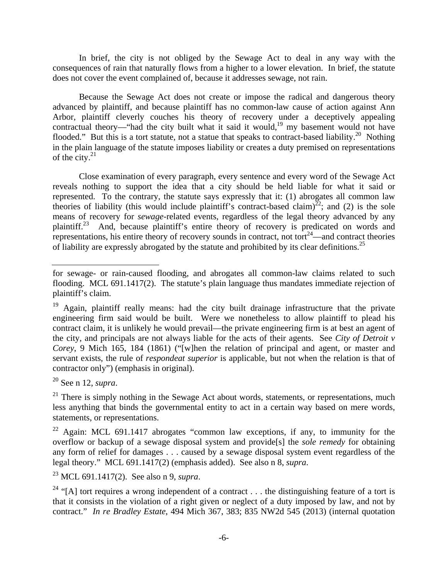In brief, the city is not obliged by the Sewage Act to deal in any way with the consequences of rain that naturally flows from a higher to a lower elevation. In brief, the statute does not cover the event complained of, because it addresses sewage, not rain.

 Because the Sewage Act does not create or impose the radical and dangerous theory advanced by plaintiff, and because plaintiff has no common-law cause of action against Ann Arbor, plaintiff cleverly couches his theory of recovery under a deceptively appealing contractual theory—"had the city built what it said it would,<sup>19</sup> my basement would not have flooded." But this is a tort statute, not a statue that speaks to contract-based liability.<sup>20</sup> Nothing in the plain language of the statute imposes liability or creates a duty premised on representations of the city. $21$ 

 Close examination of every paragraph, every sentence and every word of the Sewage Act reveals nothing to support the idea that a city should be held liable for what it said or represented. To the contrary, the statute says expressly that it: (1) abrogates all common law theories of liability (this would include plaintiff's contract-based claim)<sup>22</sup>; and (2) is the sole means of recovery for *sewage*-related events, regardless of the legal theory advanced by any plaintiff.23 And, because plaintiff's entire theory of recovery is predicated on words and representations, his entire theory of recovery sounds in contract, not tort<sup>24</sup>—and contract theories of liability are expressly abrogated by the statute and prohibited by its clear definitions.<sup>25</sup>

20 See n 12, *supra*.

 $21$  There is simply nothing in the Sewage Act about words, statements, or representations, much less anything that binds the governmental entity to act in a certain way based on mere words, statements, or representations.

<sup>22</sup> Again: MCL 691.1417 abrogates "common law exceptions, if any, to immunity for the overflow or backup of a sewage disposal system and provide[s] the *sole remedy* for obtaining any form of relief for damages . . . caused by a sewage disposal system event regardless of the legal theory." MCL 691.1417(2) (emphasis added). See also n 8, *supra*.

23 MCL 691.1417(2). See also n 9, *supra*.

<sup>24</sup> "[A] tort requires a wrong independent of a contract . . . the distinguishing feature of a tort is that it consists in the violation of a right given or neglect of a duty imposed by law, and not by contract." *In re Bradley Estate*, 494 Mich 367, 383; 835 NW2d 545 (2013) (internal quotation

for sewage- or rain-caused flooding, and abrogates all common-law claims related to such flooding. MCL 691.1417(2). The statute's plain language thus mandates immediate rejection of plaintiff's claim.

<sup>&</sup>lt;sup>19</sup> Again, plaintiff really means: had the city built drainage infrastructure that the private engineering firm said would be built. Were we nonetheless to allow plaintiff to plead his contract claim, it is unlikely he would prevail—the private engineering firm is at best an agent of the city, and principals are not always liable for the acts of their agents. See *City of Detroit v Corey*, 9 Mich 165, 184 (1861) ("[w]hen the relation of principal and agent, or master and servant exists, the rule of *respondeat superior* is applicable, but not when the relation is that of contractor only") (emphasis in original).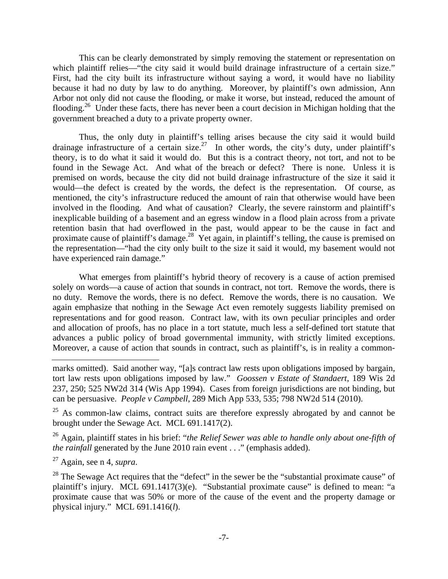This can be clearly demonstrated by simply removing the statement or representation on which plaintiff relies—"the city said it would build drainage infrastructure of a certain size." First, had the city built its infrastructure without saying a word, it would have no liability because it had no duty by law to do anything. Moreover, by plaintiff's own admission, Ann Arbor not only did not cause the flooding, or make it worse, but instead, reduced the amount of flooding.26 Under these facts, there has never been a court decision in Michigan holding that the government breached a duty to a private property owner.

 Thus, the only duty in plaintiff's telling arises because the city said it would build drainage infrastructure of a certain size.27 In other words, the city's duty, under plaintiff's theory, is to do what it said it would do. But this is a contract theory, not tort, and not to be found in the Sewage Act. And what of the breach or defect? There is none. Unless it is premised on words, because the city did not build drainage infrastructure of the size it said it would—the defect is created by the words, the defect is the representation. Of course, as mentioned, the city's infrastructure reduced the amount of rain that otherwise would have been involved in the flooding. And what of causation? Clearly, the severe rainstorm and plaintiff's inexplicable building of a basement and an egress window in a flood plain across from a private retention basin that had overflowed in the past, would appear to be the cause in fact and proximate cause of plaintiff's damage.<sup>28</sup> Yet again, in plaintiff's telling, the cause is premised on the representation—"had the city only built to the size it said it would, my basement would not have experienced rain damage."

 What emerges from plaintiff's hybrid theory of recovery is a cause of action premised solely on words—a cause of action that sounds in contract, not tort. Remove the words, there is no duty. Remove the words, there is no defect. Remove the words, there is no causation. We again emphasize that nothing in the Sewage Act even remotely suggests liability premised on representations and for good reason. Contract law, with its own peculiar principles and order and allocation of proofs, has no place in a tort statute, much less a self-defined tort statute that advances a public policy of broad governmental immunity, with strictly limited exceptions. Moreover, a cause of action that sounds in contract, such as plaintiff's, is in reality a common-

26 Again, plaintiff states in his brief: "*the Relief Sewer was able to handle only about one-fifth of the rainfall* generated by the June 2010 rain event . . ." (emphasis added).

27 Again, see n 4, *supra*.

marks omitted). Said another way, "[a]s contract law rests upon obligations imposed by bargain, tort law rests upon obligations imposed by law." *Goossen v Estate of Standaert*, 189 Wis 2d 237, 250; 525 NW2d 314 (Wis App 1994). Cases from foreign jurisdictions are not binding, but can be persuasive. *People v Campbell*, 289 Mich App 533, 535; 798 NW2d 514 (2010).

<sup>&</sup>lt;sup>25</sup> As common-law claims, contract suits are therefore expressly abrogated by and cannot be brought under the Sewage Act. MCL 691.1417(2).

<sup>&</sup>lt;sup>28</sup> The Sewage Act requires that the "defect" in the sewer be the "substantial proximate cause" of plaintiff's injury. MCL 691.1417(3)(e). "Substantial proximate cause" is defined to mean: "a proximate cause that was 50% or more of the cause of the event and the property damage or physical injury." MCL 691.1416(*l*).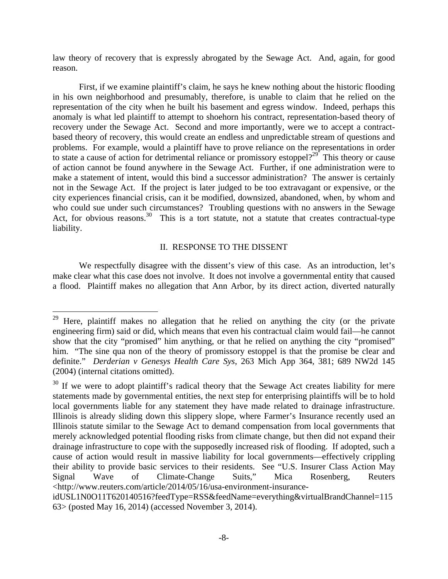law theory of recovery that is expressly abrogated by the Sewage Act. And, again, for good reason.

 First, if we examine plaintiff's claim, he says he knew nothing about the historic flooding in his own neighborhood and presumably, therefore, is unable to claim that he relied on the representation of the city when he built his basement and egress window. Indeed, perhaps this anomaly is what led plaintiff to attempt to shoehorn his contract, representation-based theory of recovery under the Sewage Act. Second and more importantly, were we to accept a contractbased theory of recovery, this would create an endless and unpredictable stream of questions and problems. For example, would a plaintiff have to prove reliance on the representations in order to state a cause of action for detrimental reliance or promissory estoppel?<sup>29</sup> This theory or cause of action cannot be found anywhere in the Sewage Act. Further, if one administration were to make a statement of intent, would this bind a successor administration? The answer is certainly not in the Sewage Act. If the project is later judged to be too extravagant or expensive, or the city experiences financial crisis, can it be modified, downsized, abandoned, when, by whom and who could sue under such circumstances? Troubling questions with no answers in the Sewage Act, for obvious reasons.<sup>30</sup> This is a tort statute, not a statute that creates contractual-type liability.

## II. RESPONSE TO THE DISSENT

We respectfully disagree with the dissent's view of this case. As an introduction, let's make clear what this case does not involve. It does not involve a governmental entity that caused a flood. Plaintiff makes no allegation that Ann Arbor, by its direct action, diverted naturally

 $\overline{a}$ 

 $29$  Here, plaintiff makes no allegation that he relied on anything the city (or the private engineering firm) said or did, which means that even his contractual claim would fail—he cannot show that the city "promised" him anything, or that he relied on anything the city "promised" him. "The sine qua non of the theory of promissory estoppel is that the promise be clear and definite." *Derderian v Genesys Health Care Sys*, 263 Mich App 364, 381; 689 NW2d 145 (2004) (internal citations omitted).

<sup>&</sup>lt;sup>30</sup> If we were to adopt plaintiff's radical theory that the Sewage Act creates liability for mere statements made by governmental entities, the next step for enterprising plaintiffs will be to hold local governments liable for any statement they have made related to drainage infrastructure. Illinois is already sliding down this slippery slope, where Farmer's Insurance recently used an Illinois statute similar to the Sewage Act to demand compensation from local governments that merely acknowledged potential flooding risks from climate change, but then did not expand their drainage infrastructure to cope with the supposedly increased risk of flooding. If adopted, such a cause of action would result in massive liability for local governments—effectively crippling their ability to provide basic services to their residents. See "U.S. Insurer Class Action May Signal Wave of Climate-Change Suits," Mica Rosenberg, Reuters <http://www.reuters.com/article/2014/05/16/usa-environment-insurance-

idUSL1N0O11T620140516?feedType=RSS&feedName=everything&virtualBrandChannel=115 63> (posted May 16, 2014) (accessed November 3, 2014).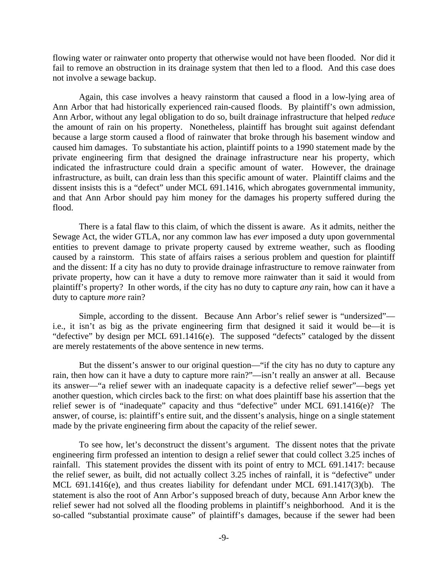flowing water or rainwater onto property that otherwise would not have been flooded. Nor did it fail to remove an obstruction in its drainage system that then led to a flood. And this case does not involve a sewage backup.

 Again, this case involves a heavy rainstorm that caused a flood in a low-lying area of Ann Arbor that had historically experienced rain-caused floods. By plaintiff's own admission, Ann Arbor, without any legal obligation to do so, built drainage infrastructure that helped *reduce* the amount of rain on his property. Nonetheless, plaintiff has brought suit against defendant because a large storm caused a flood of rainwater that broke through his basement window and caused him damages. To substantiate his action, plaintiff points to a 1990 statement made by the private engineering firm that designed the drainage infrastructure near his property, which indicated the infrastructure could drain a specific amount of water. However, the drainage infrastructure, as built, can drain less than this specific amount of water. Plaintiff claims and the dissent insists this is a "defect" under MCL 691.1416, which abrogates governmental immunity, and that Ann Arbor should pay him money for the damages his property suffered during the flood.

 There is a fatal flaw to this claim, of which the dissent is aware. As it admits, neither the Sewage Act, the wider GTLA, nor any common law has *ever* imposed a duty upon governmental entities to prevent damage to private property caused by extreme weather, such as flooding caused by a rainstorm. This state of affairs raises a serious problem and question for plaintiff and the dissent: If a city has no duty to provide drainage infrastructure to remove rainwater from private property, how can it have a duty to remove more rainwater than it said it would from plaintiff's property? In other words, if the city has no duty to capture *any* rain, how can it have a duty to capture *more* rain?

 Simple, according to the dissent. Because Ann Arbor's relief sewer is "undersized" i.e., it isn't as big as the private engineering firm that designed it said it would be—it is "defective" by design per MCL 691.1416(e). The supposed "defects" cataloged by the dissent are merely restatements of the above sentence in new terms.

 But the dissent's answer to our original question—"if the city has no duty to capture any rain, then how can it have a duty to capture more rain?"—isn't really an answer at all. Because its answer—"a relief sewer with an inadequate capacity is a defective relief sewer"—begs yet another question, which circles back to the first: on what does plaintiff base his assertion that the relief sewer is of "inadequate" capacity and thus "defective" under MCL 691.1416(e)? The answer, of course, is: plaintiff's entire suit, and the dissent's analysis, hinge on a single statement made by the private engineering firm about the capacity of the relief sewer.

 To see how, let's deconstruct the dissent's argument. The dissent notes that the private engineering firm professed an intention to design a relief sewer that could collect 3.25 inches of rainfall. This statement provides the dissent with its point of entry to MCL 691.1417: because the relief sewer, as built, did not actually collect 3.25 inches of rainfall, it is "defective" under MCL 691.1416(e), and thus creates liability for defendant under MCL 691.1417(3)(b). The statement is also the root of Ann Arbor's supposed breach of duty, because Ann Arbor knew the relief sewer had not solved all the flooding problems in plaintiff's neighborhood. And it is the so-called "substantial proximate cause" of plaintiff's damages, because if the sewer had been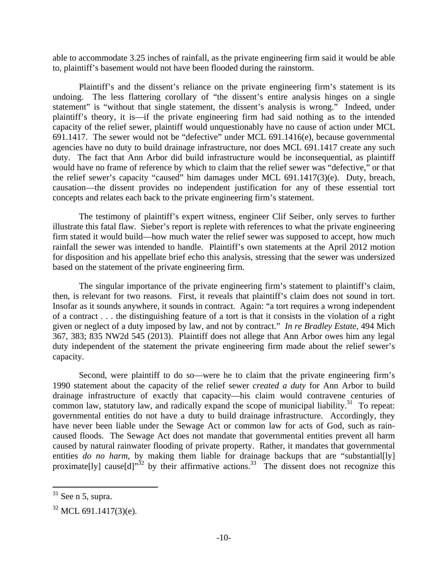able to accommodate 3.25 inches of rainfall, as the private engineering firm said it would be able to, plaintiff's basement would not have been flooded during the rainstorm.

 Plaintiff's and the dissent's reliance on the private engineering firm's statement is its undoing. The less flattering corollary of "the dissent's entire analysis hinges on a single statement" is "without that single statement, the dissent's analysis is wrong." Indeed, under plaintiff's theory, it is—if the private engineering firm had said nothing as to the intended capacity of the relief sewer, plaintiff would unquestionably have no cause of action under MCL 691.1417. The sewer would not be "defective" under MCL 691.1416(e), because governmental agencies have no duty to build drainage infrastructure, nor does MCL 691.1417 create any such duty. The fact that Ann Arbor did build infrastructure would be inconsequential, as plaintiff would have no frame of reference by which to claim that the relief sewer was "defective," or that the relief sewer's capacity "caused" him damages under MCL 691.1417(3)(e). Duty, breach, causation—the dissent provides no independent justification for any of these essential tort concepts and relates each back to the private engineering firm's statement.

 The testimony of plaintiff's expert witness, engineer Clif Seiber, only serves to further illustrate this fatal flaw. Sieber's report is replete with references to what the private engineering firm stated it would build—how much water the relief sewer was supposed to accept, how much rainfall the sewer was intended to handle. Plaintiff's own statements at the April 2012 motion for disposition and his appellate brief echo this analysis, stressing that the sewer was undersized based on the statement of the private engineering firm.

 The singular importance of the private engineering firm's statement to plaintiff's claim, then, is relevant for two reasons. First, it reveals that plaintiff's claim does not sound in tort. Insofar as it sounds anywhere, it sounds in contract. Again: "a tort requires a wrong independent of a contract . . . the distinguishing feature of a tort is that it consists in the violation of a right given or neglect of a duty imposed by law, and not by contract." *In re Bradley Estate*, 494 Mich 367, 383; 835 NW2d 545 (2013). Plaintiff does not allege that Ann Arbor owes him any legal duty independent of the statement the private engineering firm made about the relief sewer's capacity.

 Second, were plaintiff to do so—were he to claim that the private engineering firm's 1990 statement about the capacity of the relief sewer *created a duty* for Ann Arbor to build drainage infrastructure of exactly that capacity—his claim would contravene centuries of common law, statutory law, and radically expand the scope of municipal liability. $31$  To repeat: governmental entities do not have a duty to build drainage infrastructure. Accordingly, they have never been liable under the Sewage Act or common law for acts of God, such as raincaused floods. The Sewage Act does not mandate that governmental entities prevent all harm caused by natural rainwater flooding of private property. Rather, it mandates that governmental entities *do no harm*, by making them liable for drainage backups that are "substantial[ly] proximate[ly] cause[d]<sup>32</sup> by their affirmative actions.<sup>33</sup> The dissent does not recognize this

 $\overline{a}$ 

 $31$  See n 5, supra.

 $32$  MCL 691.1417(3)(e).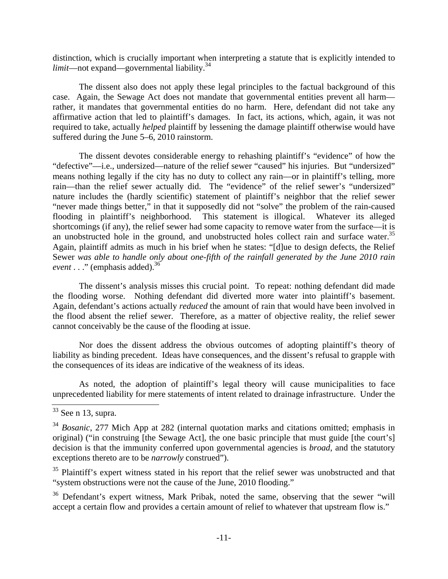distinction, which is crucially important when interpreting a statute that is explicitly intended to *limit*—not expand—governmental liability.<sup>34</sup>

 The dissent also does not apply these legal principles to the factual background of this case. Again, the Sewage Act does not mandate that governmental entities prevent all harm rather, it mandates that governmental entities do no harm. Here, defendant did not take any affirmative action that led to plaintiff's damages. In fact, its actions, which, again, it was not required to take, actually *helped* plaintiff by lessening the damage plaintiff otherwise would have suffered during the June 5–6, 2010 rainstorm.

 The dissent devotes considerable energy to rehashing plaintiff's "evidence" of how the "defective"—i.e., undersized—nature of the relief sewer "caused" his injuries. But "undersized" means nothing legally if the city has no duty to collect any rain—or in plaintiff's telling, more rain—than the relief sewer actually did. The "evidence" of the relief sewer's "undersized" nature includes the (hardly scientific) statement of plaintiff's neighbor that the relief sewer "never made things better," in that it supposedly did not "solve" the problem of the rain-caused flooding in plaintiff's neighborhood. This statement is illogical. Whatever its alleged shortcomings (if any), the relief sewer had some capacity to remove water from the surface—it is an unobstructed hole in the ground, and unobstructed holes collect rain and surface water.<sup>35</sup> Again, plaintiff admits as much in his brief when he states: "[d]ue to design defects, the Relief Sewer *was able to handle only about one-fifth of the rainfall generated by the June 2010 rain event*  $\ldots$  " (emphasis added).<sup>36</sup>

 The dissent's analysis misses this crucial point. To repeat: nothing defendant did made the flooding worse. Nothing defendant did diverted more water into plaintiff's basement. Again, defendant's actions actually *reduced* the amount of rain that would have been involved in the flood absent the relief sewer. Therefore, as a matter of objective reality, the relief sewer cannot conceivably be the cause of the flooding at issue.

 Nor does the dissent address the obvious outcomes of adopting plaintiff's theory of liability as binding precedent. Ideas have consequences, and the dissent's refusal to grapple with the consequences of its ideas are indicative of the weakness of its ideas.

 As noted, the adoption of plaintiff's legal theory will cause municipalities to face unprecedented liability for mere statements of intent related to drainage infrastructure. Under the

<sup>35</sup> Plaintiff's expert witness stated in his report that the relief sewer was unobstructed and that "system obstructions were not the cause of the June, 2010 flooding."

<sup>36</sup> Defendant's expert witness, Mark Pribak, noted the same, observing that the sewer "will accept a certain flow and provides a certain amount of relief to whatever that upstream flow is."

 $\overline{33}$  See n 13, supra.

<sup>34</sup> *Bosanic*, 277 Mich App at 282 (internal quotation marks and citations omitted; emphasis in original) ("in construing [the Sewage Act], the one basic principle that must guide [the court's] decision is that the immunity conferred upon governmental agencies is *broad*, and the statutory exceptions thereto are to be *narrowly* construed").